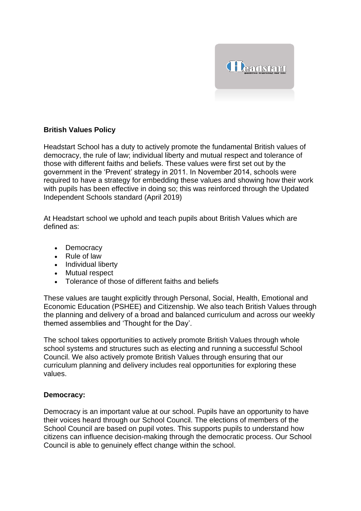

# **British Values Policy**

Headstart School has a duty to actively promote the fundamental British values of democracy, the rule of law; individual liberty and mutual respect and tolerance of those with different faiths and beliefs. These values were first set out by the government in the 'Prevent' strategy in 2011. In November 2014, schools were required to have a strategy for embedding these values and showing how their work with pupils has been effective in doing so; this was reinforced through the Updated Independent Schools standard (April 2019)

At Headstart school we uphold and teach pupils about British Values which are defined as:

- Democracy
- Rule of law
- Individual liberty
- Mutual respect
- Tolerance of those of different faiths and beliefs

These values are taught explicitly through Personal, Social, Health, Emotional and Economic Education (PSHEE) and Citizenship. We also teach British Values through the planning and delivery of a broad and balanced curriculum and across our weekly themed assemblies and 'Thought for the Day'.

The school takes opportunities to actively promote British Values through whole school systems and structures such as electing and running a successful School Council. We also actively promote British Values through ensuring that our curriculum planning and delivery includes real opportunities for exploring these values.

#### **Democracy:**

Democracy is an important value at our school. Pupils have an opportunity to have their voices heard through our School Council. The elections of members of the School Council are based on pupil votes. This supports pupils to understand how citizens can influence decision-making through the democratic process. Our School Council is able to genuinely effect change within the school.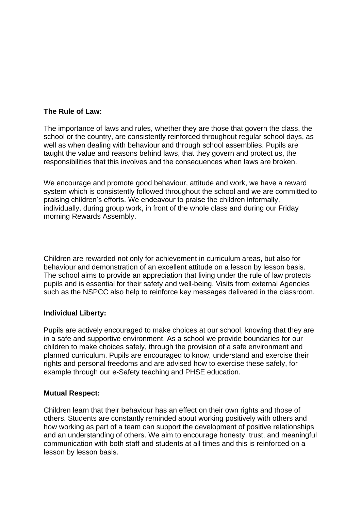## **The Rule of Law:**

The importance of laws and rules, whether they are those that govern the class, the school or the country, are consistently reinforced throughout regular school days, as well as when dealing with behaviour and through school assemblies. Pupils are taught the value and reasons behind laws, that they govern and protect us, the responsibilities that this involves and the consequences when laws are broken.

We encourage and promote good behaviour, attitude and work, we have a reward system which is consistently followed throughout the school and we are committed to praising children's efforts. We endeavour to praise the children informally, individually, during group work, in front of the whole class and during our Friday morning Rewards Assembly.

Children are rewarded not only for achievement in curriculum areas, but also for behaviour and demonstration of an excellent attitude on a lesson by lesson basis. The school aims to provide an appreciation that living under the rule of law protects pupils and is essential for their safety and well-being. Visits from external Agencies such as the NSPCC also help to reinforce key messages delivered in the classroom.

#### **Individual Liberty:**

Pupils are actively encouraged to make choices at our school, knowing that they are in a safe and supportive environment. As a school we provide boundaries for our children to make choices safely, through the provision of a safe environment and planned curriculum. Pupils are encouraged to know, understand and exercise their rights and personal freedoms and are advised how to exercise these safely, for example through our e-Safety teaching and PHSE education.

#### **Mutual Respect:**

Children learn that their behaviour has an effect on their own rights and those of others. Students are constantly reminded about working positively with others and how working as part of a team can support the development of positive relationships and an understanding of others. We aim to encourage honesty, trust, and meaningful communication with both staff and students at all times and this is reinforced on a lesson by lesson basis.